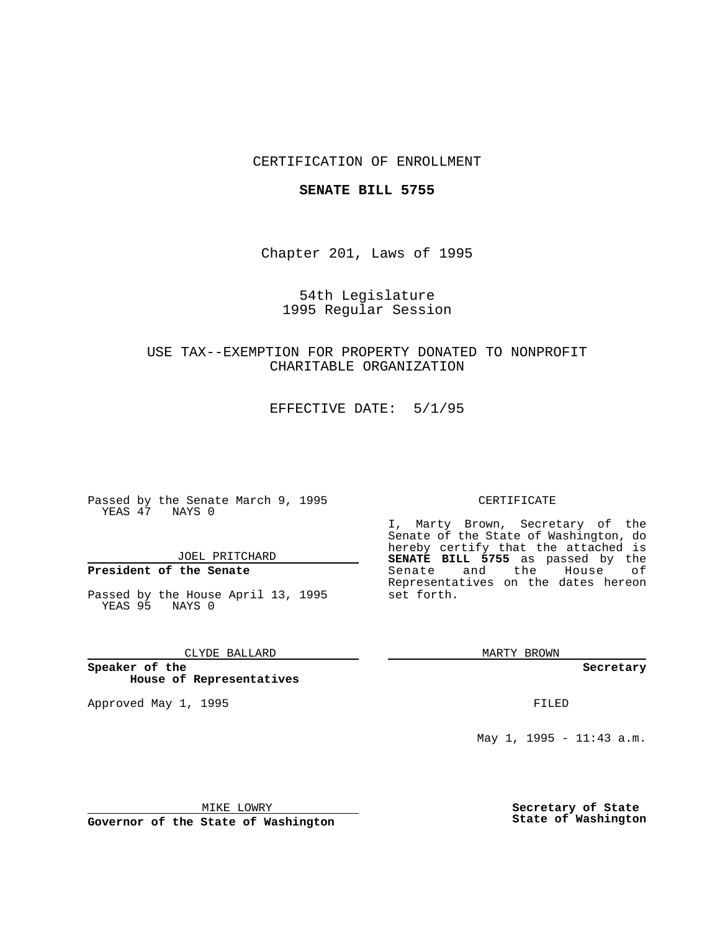## CERTIFICATION OF ENROLLMENT

### **SENATE BILL 5755**

Chapter 201, Laws of 1995

## 54th Legislature 1995 Regular Session

## USE TAX--EXEMPTION FOR PROPERTY DONATED TO NONPROFIT CHARITABLE ORGANIZATION

EFFECTIVE DATE: 5/1/95

Passed by the Senate March 9, 1995 YEAS 47 NAYS 0

JOEL PRITCHARD

# **President of the Senate**

Passed by the House April 13, 1995 YEAS 95 NAYS 0

### CLYDE BALLARD

**Speaker of the House of Representatives**

Approved May 1, 1995 **FILED** 

#### CERTIFICATE

I, Marty Brown, Secretary of the Senate of the State of Washington, do hereby certify that the attached is **SENATE BILL 5755** as passed by the Senate and the House of Representatives on the dates hereon set forth.

MARTY BROWN

**Secretary**

May 1, 1995 - 11:43 a.m.

MIKE LOWRY

**Governor of the State of Washington**

**Secretary of State State of Washington**